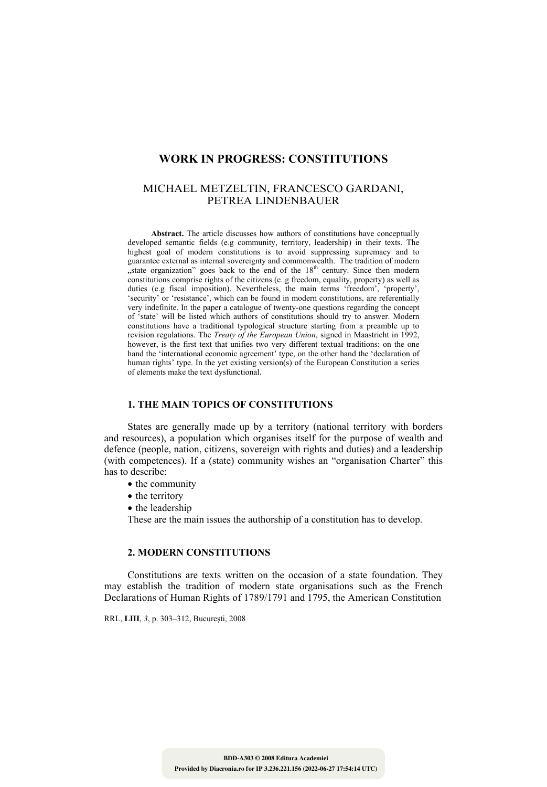# **WORK IN PROGRESS: CONSTITUTIONS**

# MICHAEL METZELTIN, FRANCESCO GARDANI, PETREA LINDENBAUER

**Abstract.** The article discusses how authors of constitutions have conceptually developed semantic fields (e.g community, territory, leadership) in their texts. The highest goal of modern constitutions is to avoid suppressing supremacy and to guarantee external as internal sovereignty and commonwealth. The tradition of modern  $\mu$  state organization" goes back to the end of the  $18<sup>th</sup>$  century. Since then modern constitutions comprise rights of the citizens (e. g freedom, equality, property) as well as duties (e.g fiscal imposition). Nevertheless, the main terms 'freedom', 'property', 'security' or 'resistance', which can be found in modern constitutions, are referentially very indefinite. In the paper a catalogue of twenty-one questions regarding the concept of 'state' will be listed which authors of constitutions should try to answer. Modern constitutions have a traditional typological structure starting from a preamble up to revision regulations. The *Treaty of the European Union*, signed in Maastricht in 1992, however, is the first text that unifies two very different textual traditions: on the one hand the 'international economic agreement' type, on the other hand the 'declaration of human rights' type. In the yet existing version(s) of the European Constitution a series of elements make the text dysfunctional.

#### **1. THE MAIN TOPICS OF CONSTITUTIONS**

States are generally made up by a territory (national territory with borders and resources), a population which organises itself for the purpose of wealth and defence (people, nation, citizens, sovereign with rights and duties) and a leadership (with competences). If a (state) community wishes an "organisation Charter" this has to describe:

- the community
- the territory
- the leadership

These are the main issues the authorship of a constitution has to develop.

# **2. MODERN CONSTITUTIONS**

Constitutions are texts written on the occasion of a state foundation. They may establish the tradition of modern state organisations such as the French Declarations of Human Rights of 1789/1791 and 1795, the American Constitution

RRL, **LIII**, *3*, p. 303–312, Bucureşti, 2008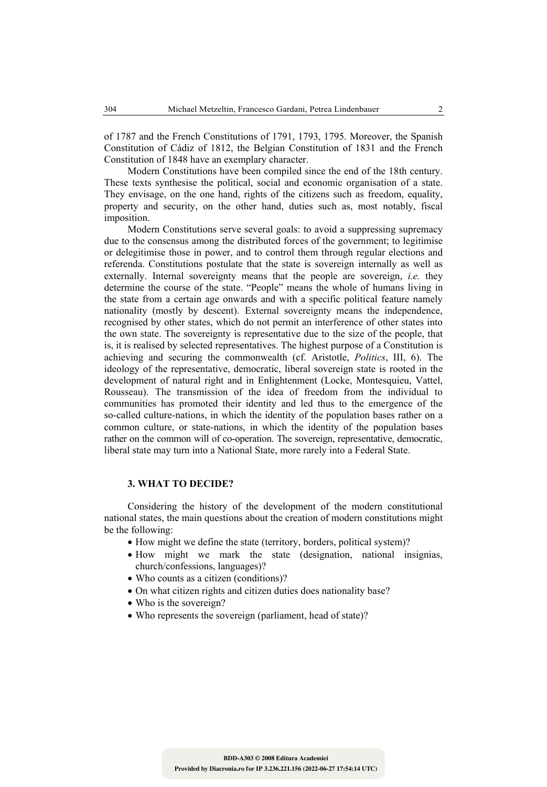of 1787 and the French Constitutions of 1791, 1793, 1795. Moreover, the Spanish Constitution of Cádiz of 1812, the Belgian Constitution of 1831 and the French Constitution of 1848 have an exemplary character.

Modern Constitutions have been compiled since the end of the 18th century. These texts synthesise the political, social and economic organisation of a state. They envisage, on the one hand, rights of the citizens such as freedom, equality, property and security, on the other hand, duties such as, most notably, fiscal imposition.

Modern Constitutions serve several goals: to avoid a suppressing supremacy due to the consensus among the distributed forces of the government; to legitimise or delegitimise those in power, and to control them through regular elections and referenda. Constitutions postulate that the state is sovereign internally as well as externally. Internal sovereignty means that the people are sovereign, *i.e.* they determine the course of the state. "People" means the whole of humans living in the state from a certain age onwards and with a specific political feature namely nationality (mostly by descent). External sovereignty means the independence, recognised by other states, which do not permit an interference of other states into the own state. The sovereignty is representative due to the size of the people, that is, it is realised by selected representatives. The highest purpose of a Constitution is achieving and securing the commonwealth (cf. Aristotle, *Politics*, III, 6). The ideology of the representative, democratic, liberal sovereign state is rooted in the development of natural right and in Enlightenment (Locke, Montesquieu, Vattel, Rousseau). The transmission of the idea of freedom from the individual to communities has promoted their identity and led thus to the emergence of the so-called culture-nations, in which the identity of the population bases rather on a common culture, or state-nations, in which the identity of the population bases rather on the common will of co-operation. The sovereign, representative, democratic, liberal state may turn into a National State, more rarely into a Federal State.

#### **3. WHAT TO DECIDE?**

Considering the history of the development of the modern constitutional national states, the main questions about the creation of modern constitutions might be the following:

- How might we define the state (territory, borders, political system)?
- How might we mark the state (designation, national insignias, church/confessions, languages)?
- Who counts as a citizen (conditions)?
- On what citizen rights and citizen duties does nationality base?
- Who is the sovereign?
- Who represents the sovereign (parliament, head of state)?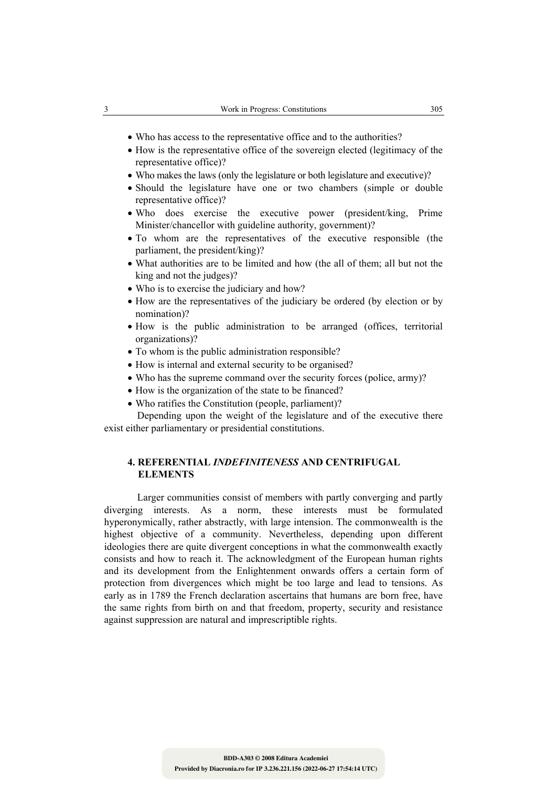- Who has access to the representative office and to the authorities?
- How is the representative office of the sovereign elected (legitimacy of the representative office)?
- Who makes the laws (only the legislature or both legislature and executive)?
- Should the legislature have one or two chambers (simple or double representative office)?
- Who does exercise the executive power (president/king, Prime Minister/chancellor with guideline authority, government)?
- To whom are the representatives of the executive responsible (the parliament, the president/king)?
- What authorities are to be limited and how (the all of them; all but not the king and not the judges)?
- Who is to exercise the judiciary and how?
- How are the representatives of the judiciary be ordered (by election or by nomination)?
- How is the public administration to be arranged (offices, territorial organizations)?
- To whom is the public administration responsible?
- How is internal and external security to be organised?
- Who has the supreme command over the security forces (police, army)?
- How is the organization of the state to be financed?
- Who ratifies the Constitution (people, parliament)?

Depending upon the weight of the legislature and of the executive there exist either parliamentary or presidential constitutions.

### **4. REFERENTIAL** *INDEFINITENESS* **AND CENTRIFUGAL ELEMENTS**

Larger communities consist of members with partly converging and partly diverging interests. As a norm, these interests must be formulated hyperonymically, rather abstractly, with large intension. The commonwealth is the highest objective of a community. Nevertheless, depending upon different ideologies there are quite divergent conceptions in what the commonwealth exactly consists and how to reach it. The acknowledgment of the European human rights and its development from the Enlightenment onwards offers a certain form of protection from divergences which might be too large and lead to tensions. As early as in 1789 the French declaration ascertains that humans are born free, have the same rights from birth on and that freedom, property, security and resistance against suppression are natural and imprescriptible rights.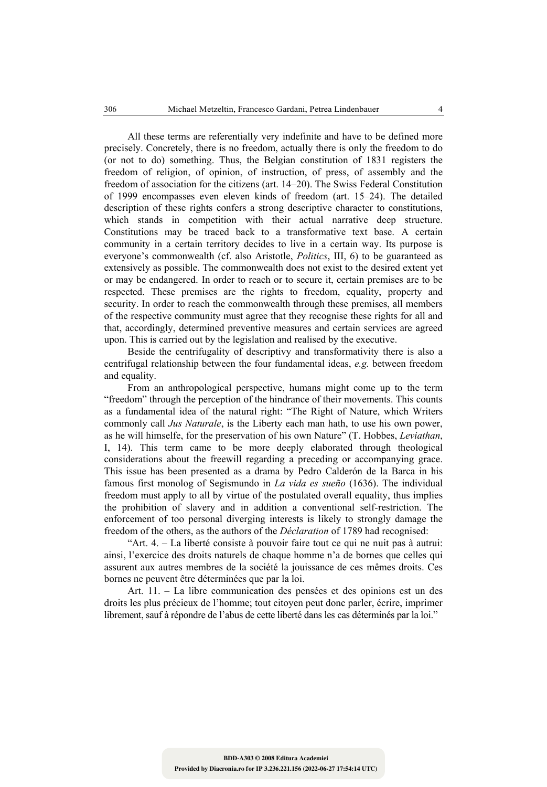All these terms are referentially very indefinite and have to be defined more precisely. Concretely, there is no freedom, actually there is only the freedom to do (or not to do) something. Thus, the Belgian constitution of 1831 registers the freedom of religion, of opinion, of instruction, of press, of assembly and the freedom of association for the citizens (art. 14–20). The Swiss Federal Constitution of 1999 encompasses even eleven kinds of freedom (art. 15–24). The detailed description of these rights confers a strong descriptive character to constitutions, which stands in competition with their actual narrative deep structure. Constitutions may be traced back to a transformative text base. A certain community in a certain territory decides to live in a certain way. Its purpose is everyone's commonwealth (cf. also Aristotle, *Politics*, III, 6) to be guaranteed as extensively as possible. The commonwealth does not exist to the desired extent yet or may be endangered. In order to reach or to secure it, certain premises are to be respected. These premises are the rights to freedom, equality, property and security. In order to reach the commonwealth through these premises, all members of the respective community must agree that they recognise these rights for all and that, accordingly, determined preventive measures and certain services are agreed upon. This is carried out by the legislation and realised by the executive.

Beside the centrifugality of descriptivy and transformativity there is also a centrifugal relationship between the four fundamental ideas, *e.g.* between freedom and equality.

From an anthropological perspective, humans might come up to the term "freedom" through the perception of the hindrance of their movements. This counts as a fundamental idea of the natural right: "The Right of Nature, which Writers commonly call *Jus Naturale*, is the Liberty each man hath, to use his own power, as he will himselfe, for the preservation of his own Nature" (T. Hobbes, *Leviathan*, I, 14). This term came to be more deeply elaborated through theological considerations about the freewill regarding a preceding or accompanying grace. This issue has been presented as a drama by Pedro Calderón de la Barca in his famous first monolog of Segismundo in *La vida es sueño* (1636). The individual freedom must apply to all by virtue of the postulated overall equality, thus implies the prohibition of slavery and in addition a conventional self-restriction. The enforcement of too personal diverging interests is likely to strongly damage the freedom of the others, as the authors of the *Déclaration* of 1789 had recognised:

"Art. 4. – La liberté consiste à pouvoir faire tout ce qui ne nuit pas à autrui: ainsi, l'exercice des droits naturels de chaque homme n'a de bornes que celles qui assurent aux autres membres de la société la jouissance de ces mêmes droits. Ces bornes ne peuvent être déterminées que par la loi.

Art. 11. – La libre communication des pensées et des opinions est un des droits les plus précieux de l'homme; tout citoyen peut donc parler, écrire, imprimer librement, sauf à répondre de l'abus de cette liberté dans les cas déterminés par la loi."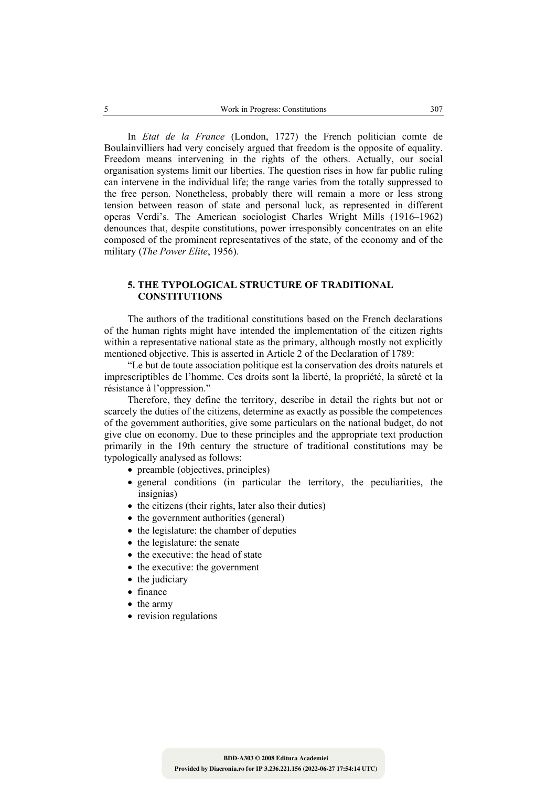In *Etat de la France* (London, 1727) the French politician comte de Boulainvilliers had very concisely argued that freedom is the opposite of equality. Freedom means intervening in the rights of the others. Actually, our social organisation systems limit our liberties. The question rises in how far public ruling can intervene in the individual life; the range varies from the totally suppressed to the free person. Nonetheless, probably there will remain a more or less strong tension between reason of state and personal luck, as represented in different operas Verdi's. The American sociologist Charles Wright Mills (1916–1962) denounces that, despite constitutions, power irresponsibly concentrates on an elite composed of the prominent representatives of the state, of the economy and of the military (*The Power Elite*, 1956).

#### **5. THE TYPOLOGICAL STRUCTURE OF TRADITIONAL CONSTITUTIONS**

The authors of the traditional constitutions based on the French declarations of the human rights might have intended the implementation of the citizen rights within a representative national state as the primary, although mostly not explicitly mentioned objective. This is asserted in Article 2 of the Declaration of 1789:

"Le but de toute association politique est la conservation des droits naturels et imprescriptibles de l'homme. Ces droits sont la liberté, la propriété, la sûreté et la résistance à l'oppression."

Therefore, they define the territory, describe in detail the rights but not or scarcely the duties of the citizens, determine as exactly as possible the competences of the government authorities, give some particulars on the national budget, do not give clue on economy. Due to these principles and the appropriate text production primarily in the 19th century the structure of traditional constitutions may be typologically analysed as follows:

- preamble (objectives, principles)
- general conditions (in particular the territory, the peculiarities, the insignias)
- the citizens (their rights, later also their duties)
- the government authorities (general)
- the legislature: the chamber of deputies
- the legislature: the senate
- the executive: the head of state
- the executive: the government
- the judiciary
- finance
- the army
- revision regulations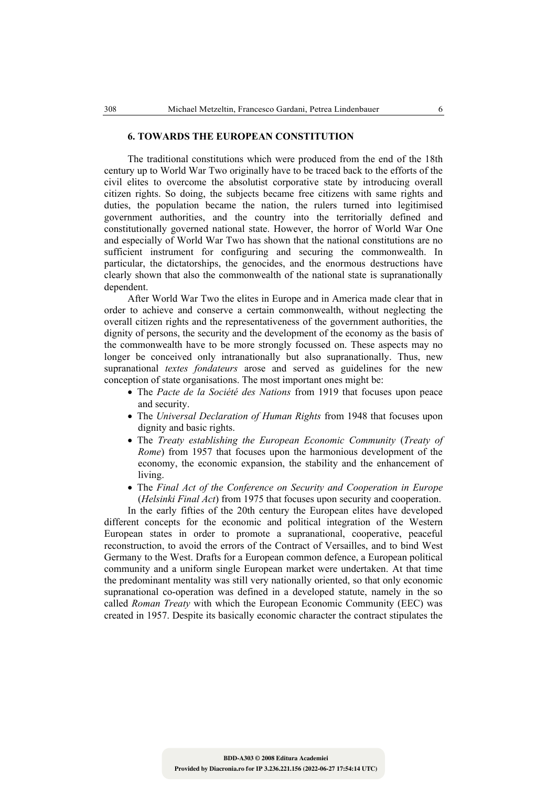#### **6. TOWARDS THE EUROPEAN CONSTITUTION**

The traditional constitutions which were produced from the end of the 18th century up to World War Two originally have to be traced back to the efforts of the civil elites to overcome the absolutist corporative state by introducing overall citizen rights. So doing, the subjects became free citizens with same rights and duties, the population became the nation, the rulers turned into legitimised government authorities, and the country into the territorially defined and constitutionally governed national state. However, the horror of World War One and especially of World War Two has shown that the national constitutions are no sufficient instrument for configuring and securing the commonwealth. In particular, the dictatorships, the genocides, and the enormous destructions have clearly shown that also the commonwealth of the national state is supranationally dependent.

After World War Two the elites in Europe and in America made clear that in order to achieve and conserve a certain commonwealth, without neglecting the overall citizen rights and the representativeness of the government authorities, the dignity of persons, the security and the development of the economy as the basis of the commonwealth have to be more strongly focussed on. These aspects may no longer be conceived only intranationally but also supranationally. Thus, new supranational *textes fondateurs* arose and served as guidelines for the new conception of state organisations. The most important ones might be:

- The *Pacte de la Société des Nations* from 1919 that focuses upon peace and security.
- The *Universal Declaration of Human Rights* from 1948 that focuses upon dignity and basic rights.
- The *Treaty establishing the European Economic Community* (*Treaty of Rome*) from 1957 that focuses upon the harmonious development of the economy, the economic expansion, the stability and the enhancement of living.
- The *Final Act of the Conference on Security and Cooperation in Europe*  (*Helsinki Final Act*) from 1975 that focuses upon security and cooperation.

In the early fifties of the 20th century the European elites have developed different concepts for the economic and political integration of the Western European states in order to promote a supranational, cooperative, peaceful reconstruction, to avoid the errors of the Contract of Versailles, and to bind West Germany to the West. Drafts for a European common defence, a European political community and a uniform single European market were undertaken. At that time the predominant mentality was still very nationally oriented, so that only economic supranational co-operation was defined in a developed statute, namely in the so called *Roman Treaty* with which the European Economic Community (EEC) was created in 1957. Despite its basically economic character the contract stipulates the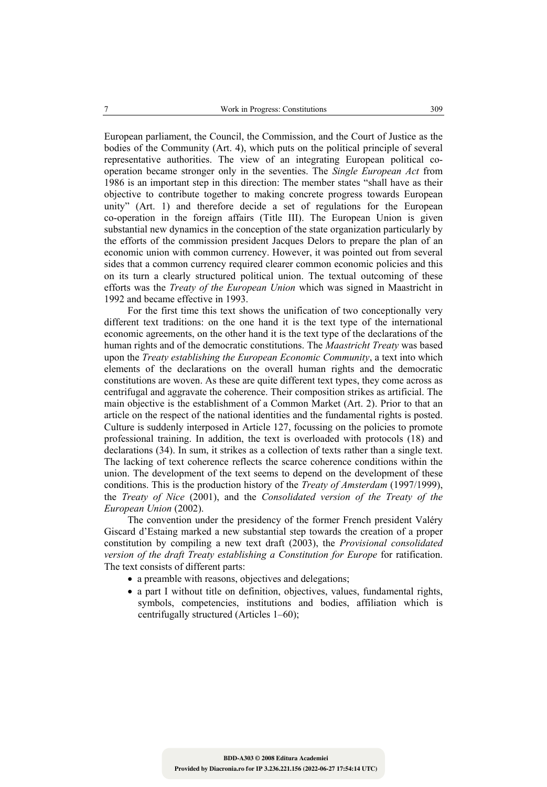European parliament, the Council, the Commission, and the Court of Justice as the bodies of the Community (Art. 4), which puts on the political principle of several representative authorities. The view of an integrating European political cooperation became stronger only in the seventies. The *Single European Act* from 1986 is an important step in this direction: The member states "shall have as their objective to contribute together to making concrete progress towards European unity" (Art. 1) and therefore decide a set of regulations for the European co-operation in the foreign affairs (Title III). The European Union is given substantial new dynamics in the conception of the state organization particularly by the efforts of the commission president Jacques Delors to prepare the plan of an economic union with common currency. However, it was pointed out from several sides that a common currency required clearer common economic policies and this on its turn a clearly structured political union. The textual outcoming of these efforts was the *Treaty of the European Union* which was signed in Maastricht in 1992 and became effective in 1993.

For the first time this text shows the unification of two conceptionally very different text traditions: on the one hand it is the text type of the international economic agreements, on the other hand it is the text type of the declarations of the human rights and of the democratic constitutions. The *Maastricht Treaty* was based upon the *Treaty establishing the European Economic Community*, a text into which elements of the declarations on the overall human rights and the democratic constitutions are woven. As these are quite different text types, they come across as centrifugal and aggravate the coherence. Their composition strikes as artificial. The main objective is the establishment of a Common Market (Art. 2). Prior to that an article on the respect of the national identities and the fundamental rights is posted. Culture is suddenly interposed in Article 127, focussing on the policies to promote professional training. In addition, the text is overloaded with protocols (18) and declarations (34). In sum, it strikes as a collection of texts rather than a single text. The lacking of text coherence reflects the scarce coherence conditions within the union. The development of the text seems to depend on the development of these conditions. This is the production history of the *Treaty of Amsterdam* (1997/1999), the *Treaty of Nice* (2001), and the *Consolidated version of the Treaty of the European Union* (2002).

The convention under the presidency of the former French president Valéry Giscard d'Estaing marked a new substantial step towards the creation of a proper constitution by compiling a new text draft (2003), the *Provisional consolidated version of the draft Treaty establishing a Constitution for Europe* for ratification. The text consists of different parts:

- a preamble with reasons, objectives and delegations;
- a part I without title on definition, objectives, values, fundamental rights, symbols, competencies, institutions and bodies, affiliation which is centrifugally structured (Articles 1–60);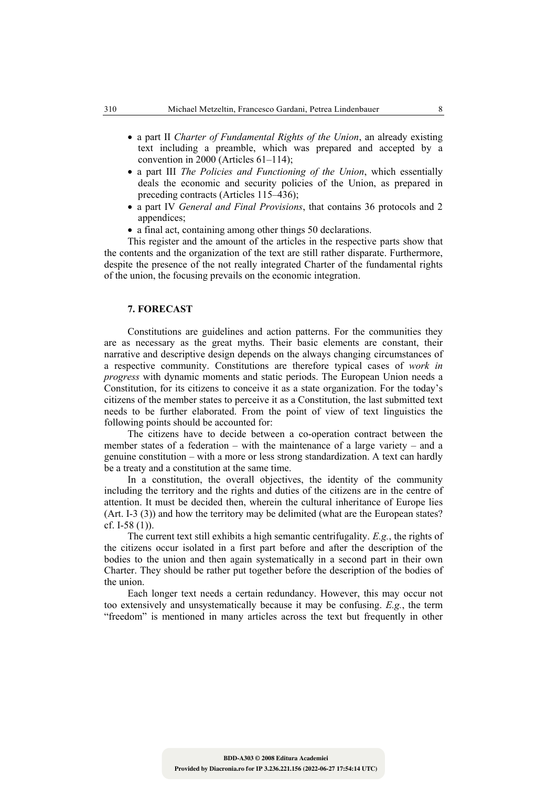- a part II *Charter of Fundamental Rights of the Union*, an already existing text including a preamble, which was prepared and accepted by a convention in 2000 (Articles 61–114);
- a part III *The Policies and Functioning of the Union*, which essentially deals the economic and security policies of the Union, as prepared in preceding contracts (Articles 115–436);
- a part IV *General and Final Provisions*, that contains 36 protocols and 2 appendices;
- a final act, containing among other things 50 declarations.

This register and the amount of the articles in the respective parts show that the contents and the organization of the text are still rather disparate. Furthermore, despite the presence of the not really integrated Charter of the fundamental rights of the union, the focusing prevails on the economic integration.

#### **7. FORECAST**

Constitutions are guidelines and action patterns. For the communities they are as necessary as the great myths. Their basic elements are constant, their narrative and descriptive design depends on the always changing circumstances of a respective community. Constitutions are therefore typical cases of *work in progress* with dynamic moments and static periods. The European Union needs a Constitution, for its citizens to conceive it as a state organization. For the today's citizens of the member states to perceive it as a Constitution, the last submitted text needs to be further elaborated. From the point of view of text linguistics the following points should be accounted for:

The citizens have to decide between a co-operation contract between the member states of a federation – with the maintenance of a large variety – and a genuine constitution – with a more or less strong standardization. A text can hardly be a treaty and a constitution at the same time.

In a constitution, the overall objectives, the identity of the community including the territory and the rights and duties of the citizens are in the centre of attention. It must be decided then, wherein the cultural inheritance of Europe lies (Art. I-3 (3)) and how the territory may be delimited (what are the European states? cf. I-58 (1)).

The current text still exhibits a high semantic centrifugality. *E.g.*, the rights of the citizens occur isolated in a first part before and after the description of the bodies to the union and then again systematically in a second part in their own Charter. They should be rather put together before the description of the bodies of the union.

Each longer text needs a certain redundancy. However, this may occur not too extensively and unsystematically because it may be confusing. *E.g.*, the term "freedom" is mentioned in many articles across the text but frequently in other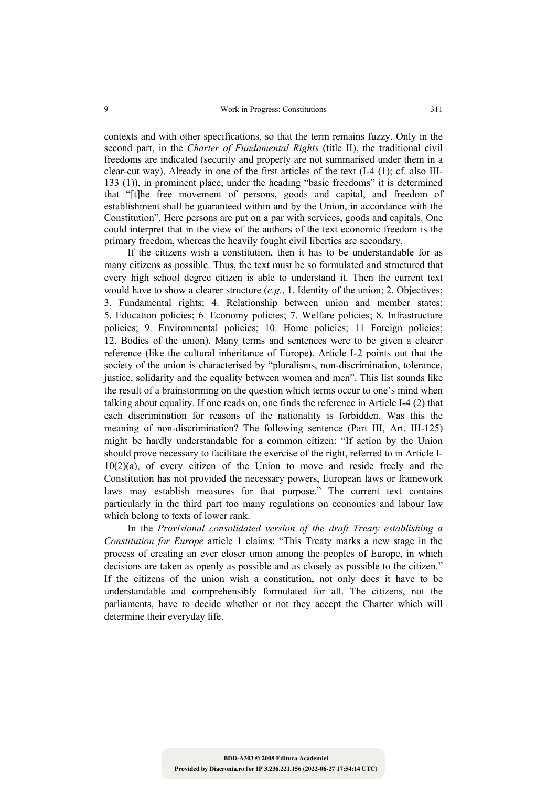contexts and with other specifications, so that the term remains fuzzy. Only in the second part, in the *Charter of Fundamental Rights* (title II), the traditional civil freedoms are indicated (security and property are not summarised under them in a clear-cut way). Already in one of the first articles of the text (I-4 (1); cf. also III-133 (1)), in prominent place, under the heading "basic freedoms" it is determined that "[t]he free movement of persons, goods and capital, and freedom of establishment shall be guaranteed within and by the Union, in accordance with the Constitution". Here persons are put on a par with services, goods and capitals. One could interpret that in the view of the authors of the text economic freedom is the primary freedom, whereas the heavily fought civil liberties are secondary.

If the citizens wish a constitution, then it has to be understandable for as many citizens as possible. Thus, the text must be so formulated and structured that every high school degree citizen is able to understand it. Then the current text would have to show a clearer structure (*e.g.*, 1. Identity of the union; 2. Objectives; 3. Fundamental rights; 4. Relationship between union and member states; 5. Education policies; 6. Economy policies; 7. Welfare policies; 8. Infrastructure policies; 9. Environmental policies; 10. Home policies; 11 Foreign policies; 12. Bodies of the union). Many terms and sentences were to be given a clearer reference (like the cultural inheritance of Europe). Article I-2 points out that the society of the union is characterised by "pluralisms, non-discrimination, tolerance, justice, solidarity and the equality between women and men". This list sounds like the result of a brainstorming on the question which terms occur to one's mind when talking about equality. If one reads on, one finds the reference in Article I-4 (2) that each discrimination for reasons of the nationality is forbidden. Was this the meaning of non-discrimination? The following sentence (Part III, Art. III-125) might be hardly understandable for a common citizen: "If action by the Union should prove necessary to facilitate the exercise of the right, referred to in Article I-10(2)(a), of every citizen of the Union to move and reside freely and the Constitution has not provided the necessary powers, European laws or framework laws may establish measures for that purpose." The current text contains particularly in the third part too many regulations on economics and labour law which belong to texts of lower rank.

In the *Provisional consolidated version of the draft Treaty establishing a Constitution for Europe* article 1 claims: "This Treaty marks a new stage in the process of creating an ever closer union among the peoples of Europe, in which decisions are taken as openly as possible and as closely as possible to the citizen." If the citizens of the union wish a constitution, not only does it have to be understandable and comprehensibly formulated for all. The citizens, not the parliaments, have to decide whether or not they accept the Charter which will determine their everyday life.